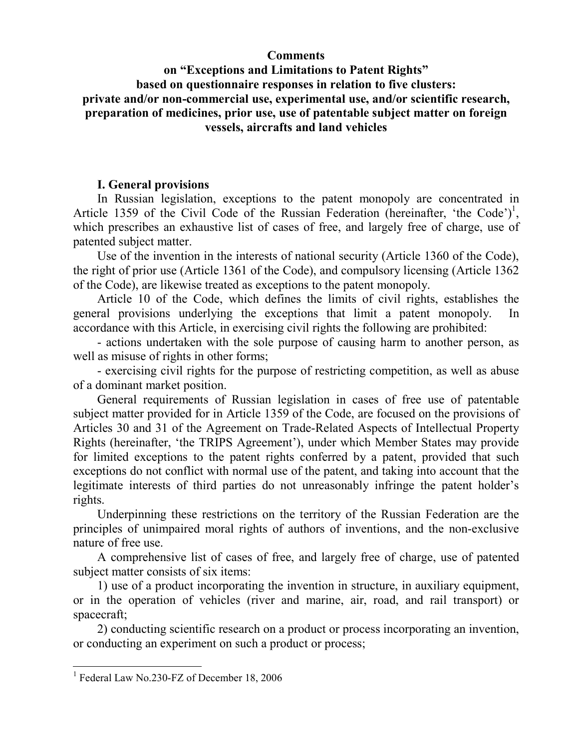## **Comments**

# **on "Exceptions and Limitations to Patent Rights" based on questionnaire responses in relation to five clusters: private and/or non-commercial use, experimental use, and/or scientific research, preparation of medicines, prior use, use of patentable subject matter on foreign vessels, aircrafts and land vehicles**

# **I. General provisions**

In Russian legislation, exceptions to the patent monopoly are concentrated in Article 1359 of the Civil Code of the Russian Federation (hereinafter, 'the Code')<sup>1</sup>, which prescribes an exhaustive list of cases of free, and largely free of charge, use of patented subject matter.

Use of the invention in the interests of national security (Article 1360 of the Code), the right of prior use (Article 1361 of the Code), and compulsory licensing (Article 1362 of the Code), are likewise treated as exceptions to the patent monopoly.

Article 10 of the Code, which defines the limits of civil rights, establishes the general provisions underlying the exceptions that limit a patent monopoly. In accordance with this Article, in exercising civil rights the following are prohibited:

- actions undertaken with the sole purpose of causing harm to another person, as well as misuse of rights in other forms;

- exercising civil rights for the purpose of restricting competition, as well as abuse of a dominant market position.

General requirements of Russian legislation in cases of free use of patentable subject matter provided for in Article 1359 of the Code, are focused on the provisions of Articles 30 and 31 of the Agreement on Trade-Related Aspects of Intellectual Property Rights (hereinafter, 'the TRIPS Agreement'), under which Member States may provide for limited exceptions to the patent rights conferred by a patent, provided that such exceptions do not conflict with normal use of the patent, and taking into account that the legitimate interests of third parties do not unreasonably infringe the patent holder's rights.

Underpinning these restrictions on the territory of the Russian Federation are the principles of unimpaired moral rights of authors of inventions, and the non-exclusive nature of free use.

A comprehensive list of cases of free, and largely free of charge, use of patented subject matter consists of six items:

1) use of a product incorporating the invention in structure, in auxiliary equipment, or in the operation of vehicles (river and marine, air, road, and rail transport) or spacecraft;

2) conducting scientific research on a product or process incorporating an invention, or conducting an experiment on such a product or process;

 1 Federal Law No.230-FZ of December 18, 2006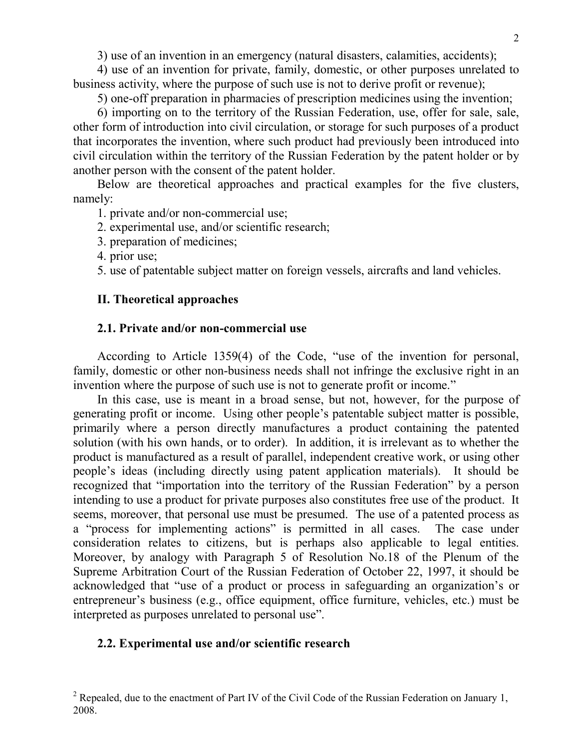3) use of an invention in an emergency (natural disasters, calamities, accidents);

4) use of an invention for private, family, domestic, or other purposes unrelated to business activity, where the purpose of such use is not to derive profit or revenue);

5) one-off preparation in pharmacies of prescription medicines using the invention;

6) importing on to the territory of the Russian Federation, use, offer for sale, sale, other form of introduction into civil circulation, or storage for such purposes of a product that incorporates the invention, where such product had previously been introduced into civil circulation within the territory of the Russian Federation by the patent holder or by another person with the consent of the patent holder.

Below are theoretical approaches and practical examples for the five clusters, namely:

1. private and/or non-commercial use;

- 2. experimental use, and/or scientific research;
- 3. preparation of medicines;
- 4. prior use;
- 5. use of patentable subject matter on foreign vessels, aircrafts and land vehicles.

# **II. Theoretical approaches**

#### **2.1. Private and/or non-commercial use**

According to Article 1359(4) of the Code, "use of the invention for personal, family, domestic or other non-business needs shall not infringe the exclusive right in an invention where the purpose of such use is not to generate profit or income."

In this case, use is meant in a broad sense, but not, however, for the purpose of generating profit or income. Using other people's patentable subject matter is possible, primarily where a person directly manufactures a product containing the patented solution (with his own hands, or to order). In addition, it is irrelevant as to whether the product is manufactured as a result of parallel, independent creative work, or using other people's ideas (including directly using patent application materials). It should be recognized that "importation into the territory of the Russian Federation" by a person intending to use a product for private purposes also constitutes free use of the product. It seems, moreover, that personal use must be presumed. The use of a patented process as a "process for implementing actions" is permitted in all cases. The case under consideration relates to citizens, but is perhaps also applicable to legal entities. Moreover, by analogy with Paragraph 5 of Resolution No.18 of the Plenum of the Supreme Arbitration Court of the Russian Federation of October 22, 1997, it should be acknowledged that "use of a product or process in safeguarding an organization's or entrepreneur's business (e.g., office equipment, office furniture, vehicles, etc.) must be interpreted as purposes unrelated to personal use".

## **2.2. Experimental use and/or scientific research**

<sup>&</sup>lt;sup>2</sup> Repealed, due to the enactment of Part IV of the Civil Code of the Russian Federation on January 1, 2008.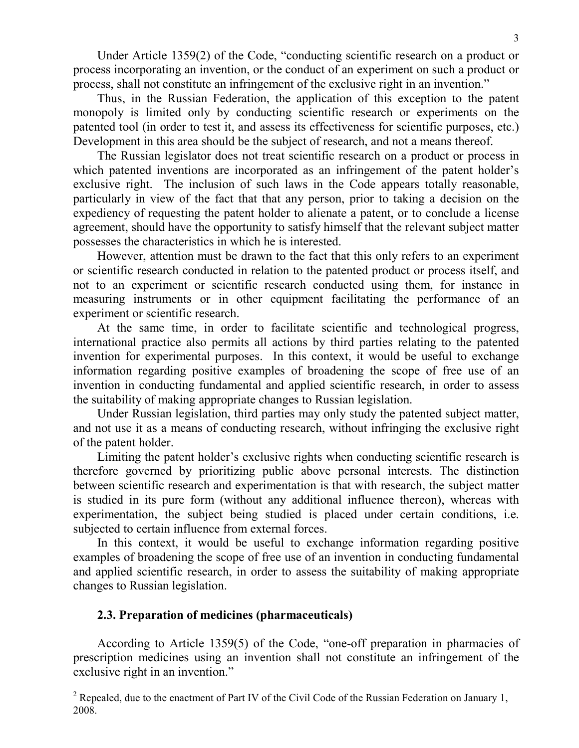Under Article 1359(2) of the Code, "conducting scientific research on a product or process incorporating an invention, or the conduct of an experiment on such a product or process, shall not constitute an infringement of the exclusive right in an invention."

Thus, in the Russian Federation, the application of this exception to the patent monopoly is limited only by conducting scientific research or experiments on the patented tool (in order to test it, and assess its effectiveness for scientific purposes, etc.) Development in this area should be the subject of research, and not a means thereof.

The Russian legislator does not treat scientific research on a product or process in which patented inventions are incorporated as an infringement of the patent holder's exclusive right. The inclusion of such laws in the Code appears totally reasonable, particularly in view of the fact that that any person, prior to taking a decision on the expediency of requesting the patent holder to alienate a patent, or to conclude a license agreement, should have the opportunity to satisfy himself that the relevant subject matter possesses the characteristics in which he is interested.

However, attention must be drawn to the fact that this only refers to an experiment or scientific research conducted in relation to the patented product or process itself, and not to an experiment or scientific research conducted using them, for instance in measuring instruments or in other equipment facilitating the performance of an experiment or scientific research.

At the same time, in order to facilitate scientific and technological progress, international practice also permits all actions by third parties relating to the patented invention for experimental purposes. In this context, it would be useful to exchange information regarding positive examples of broadening the scope of free use of an invention in conducting fundamental and applied scientific research, in order to assess the suitability of making appropriate changes to Russian legislation.

Under Russian legislation, third parties may only study the patented subject matter, and not use it as a means of conducting research, without infringing the exclusive right of the patent holder.

Limiting the patent holder's exclusive rights when conducting scientific research is therefore governed by prioritizing public above personal interests. The distinction between scientific research and experimentation is that with research, the subject matter is studied in its pure form (without any additional influence thereon), whereas with experimentation, the subject being studied is placed under certain conditions, i.e. subjected to certain influence from external forces.

In this context, it would be useful to exchange information regarding positive examples of broadening the scope of free use of an invention in conducting fundamental and applied scientific research, in order to assess the suitability of making appropriate changes to Russian legislation.

## **2.3. Preparation of medicines (pharmaceuticals)**

According to Article 1359(5) of the Code, "one-off preparation in pharmacies of prescription medicines using an invention shall not constitute an infringement of the exclusive right in an invention."

<sup>&</sup>lt;sup>2</sup> Repealed, due to the enactment of Part IV of the Civil Code of the Russian Federation on January 1, 2008.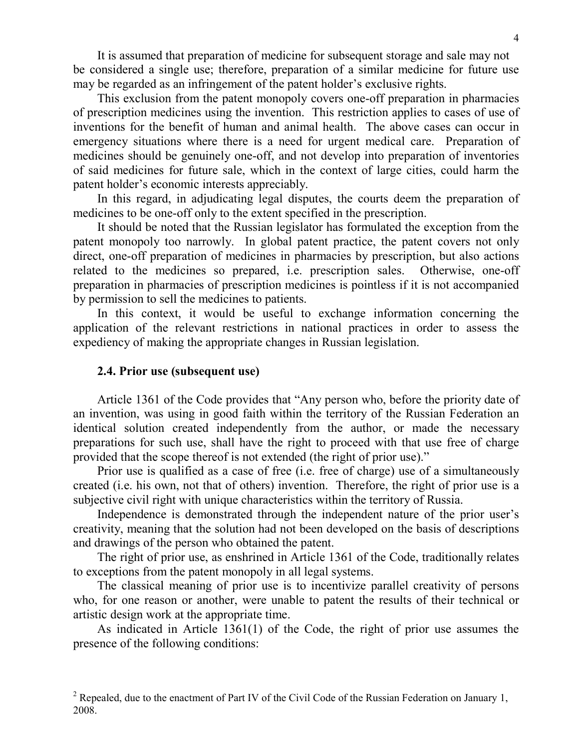It is assumed that preparation of medicine for subsequent storage and sale may not be considered a single use; therefore, preparation of a similar medicine for future use may be regarded as an infringement of the patent holder's exclusive rights.

This exclusion from the patent monopoly covers one-off preparation in pharmacies of prescription medicines using the invention. This restriction applies to cases of use of inventions for the benefit of human and animal health. The above cases can occur in emergency situations where there is a need for urgent medical care. Preparation of medicines should be genuinely one-off, and not develop into preparation of inventories of said medicines for future sale, which in the context of large cities, could harm the patent holder's economic interests appreciably.

In this regard, in adjudicating legal disputes, the courts deem the preparation of medicines to be one-off only to the extent specified in the prescription.

It should be noted that the Russian legislator has formulated the exception from the patent monopoly too narrowly. In global patent practice, the patent covers not only direct, one-off preparation of medicines in pharmacies by prescription, but also actions related to the medicines so prepared, i.e. prescription sales. Otherwise, one-off preparation in pharmacies of prescription medicines is pointless if it is not accompanied by permission to sell the medicines to patients.

In this context, it would be useful to exchange information concerning the application of the relevant restrictions in national practices in order to assess the expediency of making the appropriate changes in Russian legislation.

#### **2.4. Prior use (subsequent use)**

Article 1361 of the Code provides that "Any person who, before the priority date of an invention, was using in good faith within the territory of the Russian Federation an identical solution created independently from the author, or made the necessary preparations for such use, shall have the right to proceed with that use free of charge provided that the scope thereof is not extended (the right of prior use)."

Prior use is qualified as a case of free (i.e. free of charge) use of a simultaneously created (i.e. his own, not that of others) invention. Therefore, the right of prior use is a subjective civil right with unique characteristics within the territory of Russia.

Independence is demonstrated through the independent nature of the prior user's creativity, meaning that the solution had not been developed on the basis of descriptions and drawings of the person who obtained the patent.

The right of prior use, as enshrined in Article 1361 of the Code, traditionally relates to exceptions from the patent monopoly in all legal systems.

The classical meaning of prior use is to incentivize parallel creativity of persons who, for one reason or another, were unable to patent the results of their technical or artistic design work at the appropriate time.

As indicated in Article 1361(1) of the Code, the right of prior use assumes the presence of the following conditions:

<sup>&</sup>lt;sup>2</sup> Repealed, due to the enactment of Part IV of the Civil Code of the Russian Federation on January 1, 2008.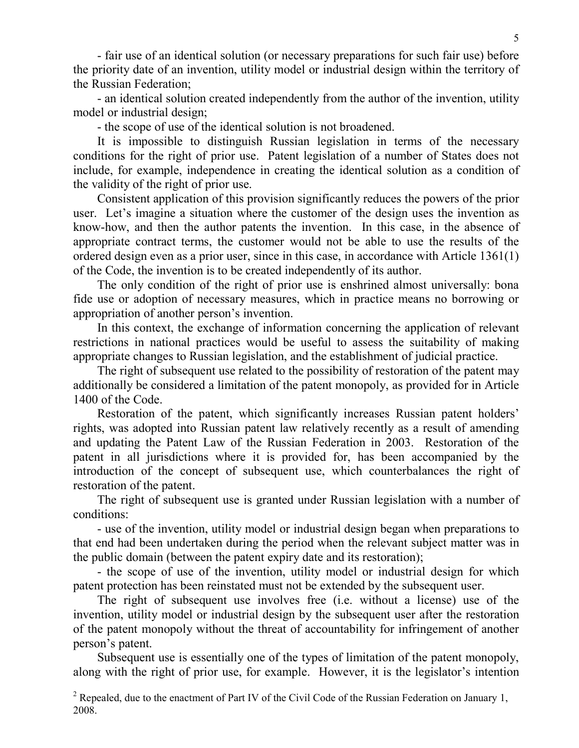- fair use of an identical solution (or necessary preparations for such fair use) before the priority date of an invention, utility model or industrial design within the territory of the Russian Federation;

- an identical solution created independently from the author of the invention, utility model or industrial design;

- the scope of use of the identical solution is not broadened.

It is impossible to distinguish Russian legislation in terms of the necessary conditions for the right of prior use. Patent legislation of a number of States does not include, for example, independence in creating the identical solution as a condition of the validity of the right of prior use.

Consistent application of this provision significantly reduces the powers of the prior user. Let's imagine a situation where the customer of the design uses the invention as know-how, and then the author patents the invention. In this case, in the absence of appropriate contract terms, the customer would not be able to use the results of the ordered design even as a prior user, since in this case, in accordance with Article 1361(1) of the Code, the invention is to be created independently of its author.

The only condition of the right of prior use is enshrined almost universally: bona fide use or adoption of necessary measures, which in practice means no borrowing or appropriation of another person's invention.

In this context, the exchange of information concerning the application of relevant restrictions in national practices would be useful to assess the suitability of making appropriate changes to Russian legislation, and the establishment of judicial practice.

The right of subsequent use related to the possibility of restoration of the patent may additionally be considered a limitation of the patent monopoly, as provided for in Article 1400 of the Code.

Restoration of the patent, which significantly increases Russian patent holders' rights, was adopted into Russian patent law relatively recently as a result of amending and updating the Patent Law of the Russian Federation in 2003. Restoration of the patent in all jurisdictions where it is provided for, has been accompanied by the introduction of the concept of subsequent use, which counterbalances the right of restoration of the patent.

The right of subsequent use is granted under Russian legislation with a number of conditions:

- use of the invention, utility model or industrial design began when preparations to that end had been undertaken during the period when the relevant subject matter was in the public domain (between the patent expiry date and its restoration);

- the scope of use of the invention, utility model or industrial design for which patent protection has been reinstated must not be extended by the subsequent user.

The right of subsequent use involves free (i.e. without a license) use of the invention, utility model or industrial design by the subsequent user after the restoration of the patent monopoly without the threat of accountability for infringement of another person's patent.

Subsequent use is essentially one of the types of limitation of the patent monopoly, along with the right of prior use, for example. However, it is the legislator's intention

<sup>&</sup>lt;sup>2</sup> Repealed, due to the enactment of Part IV of the Civil Code of the Russian Federation on January 1, 2008.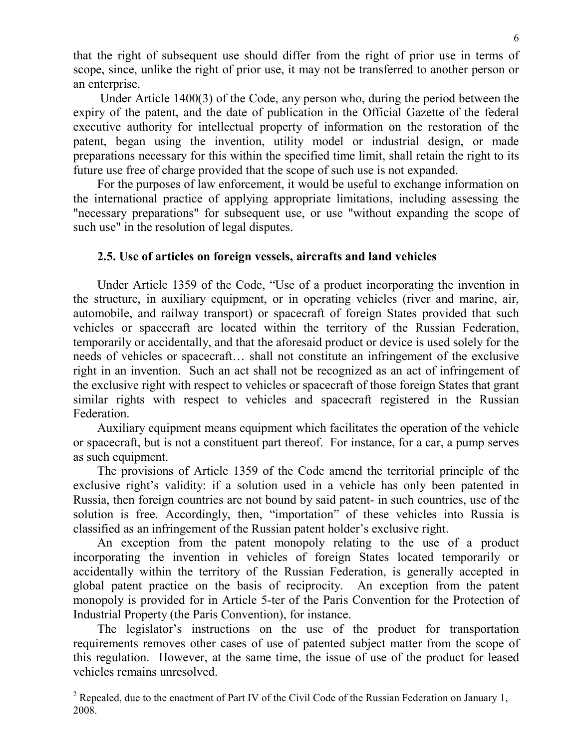that the right of subsequent use should differ from the right of prior use in terms of scope, since, unlike the right of prior use, it may not be transferred to another person or an enterprise.

 Under Article 1400(3) of the Code, any person who, during the period between the expiry of the patent, and the date of publication in the Official Gazette of the federal executive authority for intellectual property of information on the restoration of the patent, began using the invention, utility model or industrial design, or made preparations necessary for this within the specified time limit, shall retain the right to its future use free of charge provided that the scope of such use is not expanded.

For the purposes of law enforcement, it would be useful to exchange information on the international practice of applying appropriate limitations, including assessing the "necessary preparations" for subsequent use, or use "without expanding the scope of such use" in the resolution of legal disputes.

# **2.5. Use of articles on foreign vessels, aircrafts and land vehicles**

Under Article 1359 of the Code, "Use of a product incorporating the invention in the structure, in auxiliary equipment, or in operating vehicles (river and marine, air, automobile, and railway transport) or spacecraft of foreign States provided that such vehicles or spacecraft are located within the territory of the Russian Federation, temporarily or accidentally, and that the aforesaid product or device is used solely for the needs of vehicles or spacecraft… shall not constitute an infringement of the exclusive right in an invention. Such an act shall not be recognized as an act of infringement of the exclusive right with respect to vehicles or spacecraft of those foreign States that grant similar rights with respect to vehicles and spacecraft registered in the Russian Federation.

Auxiliary equipment means equipment which facilitates the operation of the vehicle or spacecraft, but is not a constituent part thereof. For instance, for a car, a pump serves as such equipment.

The provisions of Article 1359 of the Code amend the territorial principle of the exclusive right's validity: if a solution used in a vehicle has only been patented in Russia, then foreign countries are not bound by said patent- in such countries, use of the solution is free. Accordingly, then, "importation" of these vehicles into Russia is classified as an infringement of the Russian patent holder's exclusive right.

An exception from the patent monopoly relating to the use of a product incorporating the invention in vehicles of foreign States located temporarily or accidentally within the territory of the Russian Federation, is generally accepted in global patent practice on the basis of reciprocity. An exception from the patent monopoly is provided for in Article 5-ter of the Paris Convention for the Protection of Industrial Property (the Paris Convention), for instance.

The legislator's instructions on the use of the product for transportation requirements removes other cases of use of patented subject matter from the scope of this regulation. However, at the same time, the issue of use of the product for leased vehicles remains unresolved.

<sup>&</sup>lt;sup>2</sup> Repealed, due to the enactment of Part IV of the Civil Code of the Russian Federation on January 1, 2008.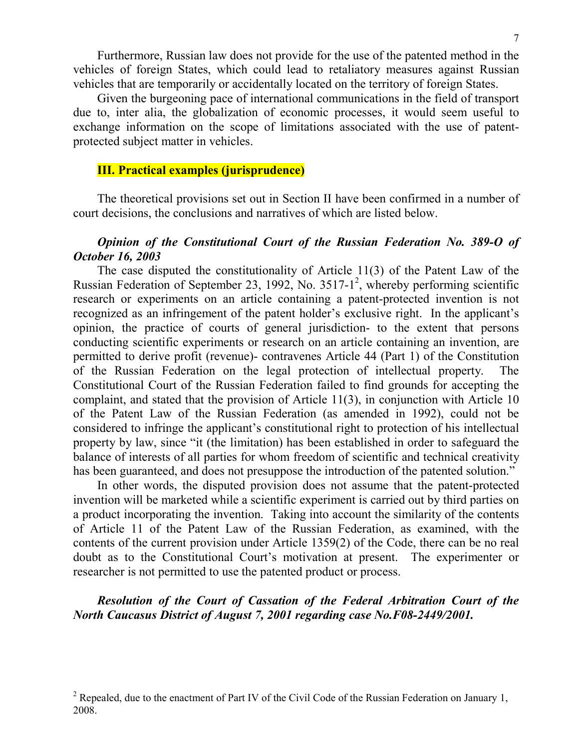Furthermore, Russian law does not provide for the use of the patented method in the vehicles of foreign States, which could lead to retaliatory measures against Russian vehicles that are temporarily or accidentally located on the territory of foreign States.

Given the burgeoning pace of international communications in the field of transport due to, inter alia, the globalization of economic processes, it would seem useful to exchange information on the scope of limitations associated with the use of patentprotected subject matter in vehicles.

#### **III. Practical examples (jurisprudence)**

The theoretical provisions set out in Section II have been confirmed in a number of court decisions, the conclusions and narratives of which are listed below.

## *Opinion of the Constitutional Court of the Russian Federation No. 389-O of October 16, 2003*

The case disputed the constitutionality of Article 11(3) of the Patent Law of the Russian Federation of September 23, 1992, No.  $3517-1^2$ , whereby performing scientific research or experiments on an article containing a patent-protected invention is not recognized as an infringement of the patent holder's exclusive right. In the applicant's opinion, the practice of courts of general jurisdiction- to the extent that persons conducting scientific experiments or research on an article containing an invention, are permitted to derive profit (revenue)- contravenes Article 44 (Part 1) of the Constitution of the Russian Federation on the legal protection of intellectual property. The Constitutional Court of the Russian Federation failed to find grounds for accepting the complaint, and stated that the provision of Article 11(3), in conjunction with Article 10 of the Patent Law of the Russian Federation (as amended in 1992), could not be considered to infringe the applicant's constitutional right to protection of his intellectual property by law, since "it (the limitation) has been established in order to safeguard the balance of interests of all parties for whom freedom of scientific and technical creativity has been guaranteed, and does not presuppose the introduction of the patented solution."

In other words, the disputed provision does not assume that the patent-protected invention will be marketed while a scientific experiment is carried out by third parties on a product incorporating the invention. Taking into account the similarity of the contents of Article 11 of the Patent Law of the Russian Federation, as examined, with the contents of the current provision under Article 1359(2) of the Code, there can be no real doubt as to the Constitutional Court's motivation at present. The experimenter or researcher is not permitted to use the patented product or process.

# *Resolution of the Court of Cassation of the Federal Arbitration Court of the North Caucasus District of August 7, 2001 regarding case No.F08-2449/2001.*

<sup>&</sup>lt;sup>2</sup> Repealed, due to the enactment of Part IV of the Civil Code of the Russian Federation on January 1, 2008.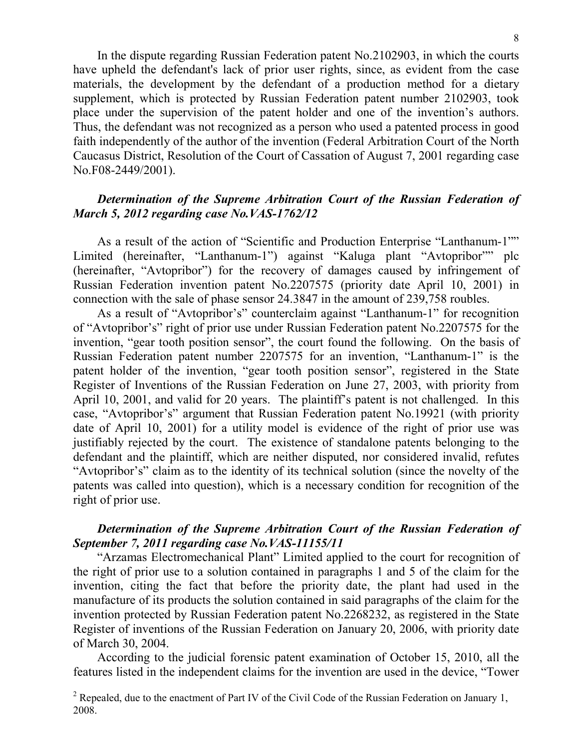In the dispute regarding Russian Federation patent No.2102903, in which the courts have upheld the defendant's lack of prior user rights, since, as evident from the case materials, the development by the defendant of a production method for a dietary supplement, which is protected by Russian Federation patent number 2102903, took place under the supervision of the patent holder and one of the invention's authors. Thus, the defendant was not recognized as a person who used a patented process in good faith independently of the author of the invention (Federal Arbitration Court of the North Caucasus District, Resolution of the Court of Cassation of August 7, 2001 regarding case No.F08-2449/2001).

# *Determination of the Supreme Arbitration Court of the Russian Federation of March 5, 2012 regarding case No.VAS-1762/12*

As a result of the action of "Scientific and Production Enterprise "Lanthanum-1"" Limited (hereinafter, "Lanthanum-1") against "Kaluga plant "Avtopribor"" plc (hereinafter, "Avtopribor") for the recovery of damages caused by infringement of Russian Federation invention patent No.2207575 (priority date April 10, 2001) in connection with the sale of phase sensor 24.3847 in the amount of 239,758 roubles.

As a result of "Avtopribor's" counterclaim against "Lanthanum-1" for recognition of "Avtopribor's" right of prior use under Russian Federation patent No.2207575 for the invention, "gear tooth position sensor", the court found the following. On the basis of Russian Federation patent number 2207575 for an invention, "Lanthanum-1" is the patent holder of the invention, "gear tooth position sensor", registered in the State Register of Inventions of the Russian Federation on June 27, 2003, with priority from April 10, 2001, and valid for 20 years. The plaintiff's patent is not challenged. In this case, "Avtopribor's" argument that Russian Federation patent No.19921 (with priority date of April 10, 2001) for a utility model is evidence of the right of prior use was justifiably rejected by the court. The existence of standalone patents belonging to the defendant and the plaintiff, which are neither disputed, nor considered invalid, refutes "Avtopribor's" claim as to the identity of its technical solution (since the novelty of the patents was called into question), which is a necessary condition for recognition of the right of prior use.

# *Determination of the Supreme Arbitration Court of the Russian Federation of September 7, 2011 regarding case No.VAS-11155/11*

"Arzamas Electromechanical Plant" Limited applied to the court for recognition of the right of prior use to a solution contained in paragraphs 1 and 5 of the claim for the invention, citing the fact that before the priority date, the plant had used in the manufacture of its products the solution contained in said paragraphs of the claim for the invention protected by Russian Federation patent No.2268232, as registered in the State Register of inventions of the Russian Federation on January 20, 2006, with priority date of March 30, 2004.

According to the judicial forensic patent examination of October 15, 2010, all the features listed in the independent claims for the invention are used in the device, "Tower

<sup>&</sup>lt;sup>2</sup> Repealed, due to the enactment of Part IV of the Civil Code of the Russian Federation on January 1, 2008.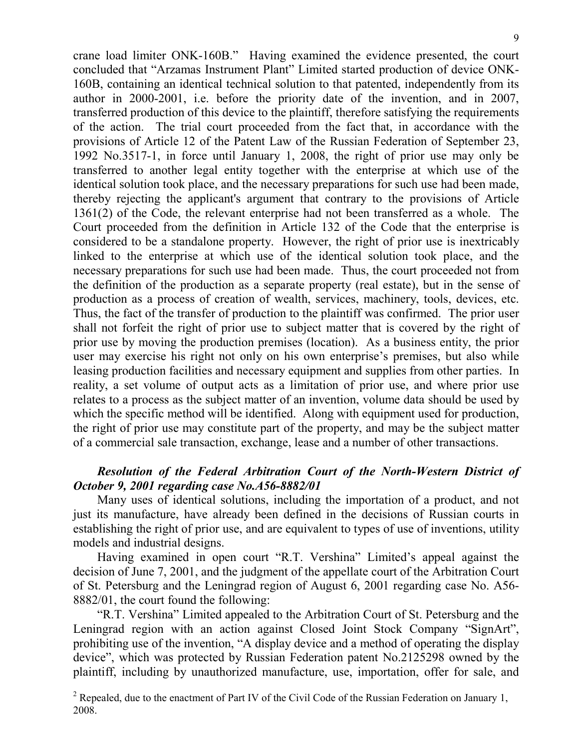crane load limiter ONK-160B." Having examined the evidence presented, the court concluded that "Arzamas Instrument Plant" Limited started production of device ONK-160B, containing an identical technical solution to that patented, independently from its author in 2000-2001, i.e. before the priority date of the invention, and in 2007, transferred production of this device to the plaintiff, therefore satisfying the requirements of the action. The trial court proceeded from the fact that, in accordance with the provisions of Article 12 of the Patent Law of the Russian Federation of September 23, 1992 No.3517-1, in force until January 1, 2008, the right of prior use may only be transferred to another legal entity together with the enterprise at which use of the identical solution took place, and the necessary preparations for such use had been made, thereby rejecting the applicant's argument that contrary to the provisions of Article 1361(2) of the Code, the relevant enterprise had not been transferred as a whole. The Court proceeded from the definition in Article 132 of the Code that the enterprise is considered to be a standalone property. However, the right of prior use is inextricably linked to the enterprise at which use of the identical solution took place, and the necessary preparations for such use had been made. Thus, the court proceeded not from the definition of the production as a separate property (real estate), but in the sense of production as a process of creation of wealth, services, machinery, tools, devices, etc. Thus, the fact of the transfer of production to the plaintiff was confirmed. The prior user shall not forfeit the right of prior use to subject matter that is covered by the right of prior use by moving the production premises (location). As a business entity, the prior user may exercise his right not only on his own enterprise's premises, but also while leasing production facilities and necessary equipment and supplies from other parties. In reality, a set volume of output acts as a limitation of prior use, and where prior use relates to a process as the subject matter of an invention, volume data should be used by which the specific method will be identified. Along with equipment used for production, the right of prior use may constitute part of the property, and may be the subject matter of a commercial sale transaction, exchange, lease and a number of other transactions.

# *Resolution of the Federal Arbitration Court of the North-Western District of October 9, 2001 regarding case No.А56-8882/01*

Many uses of identical solutions, including the importation of a product, and not just its manufacture, have already been defined in the decisions of Russian courts in establishing the right of prior use, and are equivalent to types of use of inventions, utility models and industrial designs.

Having examined in open court "R.T. Vershina" Limited's appeal against the decision of June 7, 2001, and the judgment of the appellate court of the Arbitration Court of St. Petersburg and the Leningrad region of August 6, 2001 regarding case No. A56- 8882/01, the court found the following:

"R.T. Vershina" Limited appealed to the Arbitration Court of St. Petersburg and the Leningrad region with an action against Closed Joint Stock Company "SignArt", prohibiting use of the invention, "A display device and a method of operating the display device", which was protected by Russian Federation patent No.2125298 owned by the plaintiff, including by unauthorized manufacture, use, importation, offer for sale, and

<sup>&</sup>lt;sup>2</sup> Repealed, due to the enactment of Part IV of the Civil Code of the Russian Federation on January 1, 2008.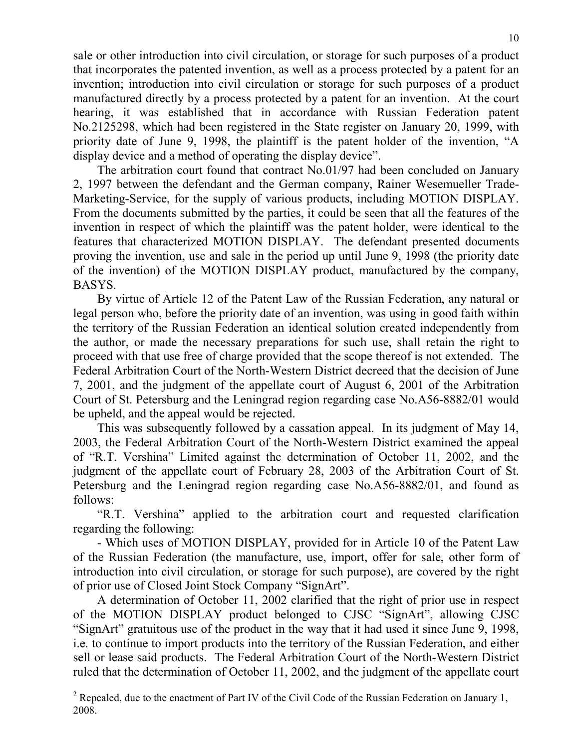sale or other introduction into civil circulation, or storage for such purposes of a product that incorporates the patented invention, as well as a process protected by a patent for an invention; introduction into civil circulation or storage for such purposes of a product manufactured directly by a process protected by a patent for an invention. At the court hearing, it was established that in accordance with Russian Federation patent No.2125298, which had been registered in the State register on January 20, 1999, with priority date of June 9, 1998, the plaintiff is the patent holder of the invention, "A display device and a method of operating the display device".

The arbitration court found that contract No.01/97 had been concluded on January 2, 1997 between the defendant and the German company, Rainer Wesemueller Trade-Marketing-Service, for the supply of various products, including MOTION DISPLAY. From the documents submitted by the parties, it could be seen that all the features of the invention in respect of which the plaintiff was the patent holder, were identical to the features that characterized MOTION DISPLAY. The defendant presented documents proving the invention, use and sale in the period up until June 9, 1998 (the priority date of the invention) of the MOTION DISPLAY product, manufactured by the company, BASYS.

By virtue of Article 12 of the Patent Law of the Russian Federation, any natural or legal person who, before the priority date of an invention, was using in good faith within the territory of the Russian Federation an identical solution created independently from the author, or made the necessary preparations for such use, shall retain the right to proceed with that use free of charge provided that the scope thereof is not extended. The Federal Arbitration Court of the North-Western District decreed that the decision of June 7, 2001, and the judgment of the appellate court of August 6, 2001 of the Arbitration Court of St. Petersburg and the Leningrad region regarding case No.A56-8882/01 would be upheld, and the appeal would be rejected.

This was subsequently followed by a cassation appeal. In its judgment of May 14, 2003, the Federal Arbitration Court of the North-Western District examined the appeal of "R.T. Vershina" Limited against the determination of October 11, 2002, and the judgment of the appellate court of February 28, 2003 of the Arbitration Court of St. Petersburg and the Leningrad region regarding case No.A56-8882/01, and found as follows:

"R.T. Vershina" applied to the arbitration court and requested clarification regarding the following:

- Which uses of MOTION DISPLAY, provided for in Article 10 of the Patent Law of the Russian Federation (the manufacture, use, import, offer for sale, other form of introduction into civil circulation, or storage for such purpose), are covered by the right of prior use of Closed Joint Stock Company "SignArt".

A determination of October 11, 2002 clarified that the right of prior use in respect of the MOTION DISPLAY product belonged to CJSC "SignArt", allowing CJSC "SignArt" gratuitous use of the product in the way that it had used it since June 9, 1998, i.e. to continue to import products into the territory of the Russian Federation, and either sell or lease said products. The Federal Arbitration Court of the North-Western District ruled that the determination of October 11, 2002, and the judgment of the appellate court

<sup>&</sup>lt;sup>2</sup> Repealed, due to the enactment of Part IV of the Civil Code of the Russian Federation on January 1, 2008.